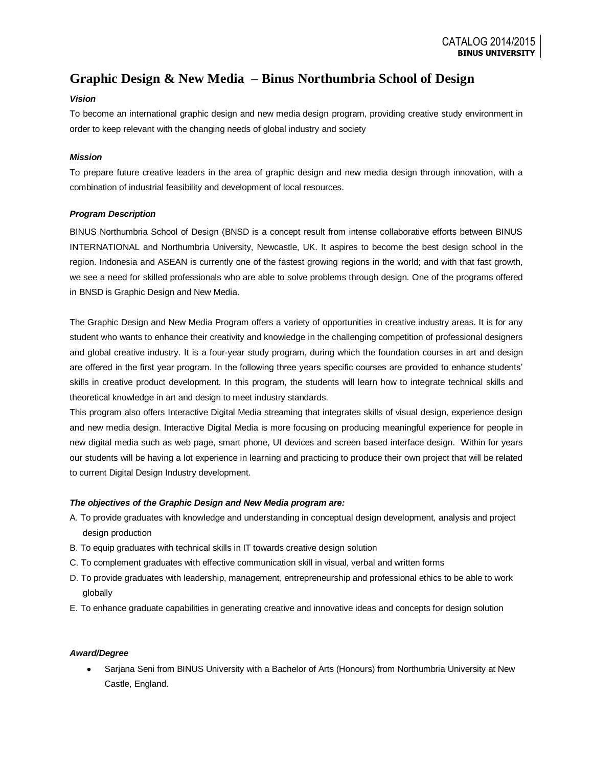# **Graphic Design & New Media – Binus Northumbria School of Design**

# *Vision*

To become an international graphic design and new media design program, providing creative study environment in order to keep relevant with the changing needs of global industry and society

# *Mission*

To prepare future creative leaders in the area of graphic design and new media design through innovation, with a combination of industrial feasibility and development of local resources.

## *Program Description*

BINUS Northumbria School of Design (BNSD is a concept result from intense collaborative efforts between BINUS INTERNATIONAL and Northumbria University, Newcastle, UK. It aspires to become the best design school in the region. Indonesia and ASEAN is currently one of the fastest growing regions in the world; and with that fast growth, we see a need for skilled professionals who are able to solve problems through design. One of the programs offered in BNSD is Graphic Design and New Media.

The Graphic Design and New Media Program offers a variety of opportunities in creative industry areas. It is for any student who wants to enhance their creativity and knowledge in the challenging competition of professional designers and global creative industry. It is a four-year study program, during which the foundation courses in art and design are offered in the first year program. In the following three years specific courses are provided to enhance students' skills in creative product development. In this program, the students will learn how to integrate technical skills and theoretical knowledge in art and design to meet industry standards.

This program also offers Interactive Digital Media streaming that integrates skills of visual design, experience design and new media design. Interactive Digital Media is more focusing on producing meaningful experience for people in new digital media such as web page, smart phone, UI devices and screen based interface design. Within for years our students will be having a lot experience in learning and practicing to produce their own project that will be related to current Digital Design Industry development.

#### *The objectives of the Graphic Design and New Media program are:*

- A. To provide graduates with knowledge and understanding in conceptual design development, analysis and project design production
- B. To equip graduates with technical skills in IT towards creative design solution
- C. To complement graduates with effective communication skill in visual, verbal and written forms
- D. To provide graduates with leadership, management, entrepreneurship and professional ethics to be able to work globally
- E. To enhance graduate capabilities in generating creative and innovative ideas and concepts for design solution

#### *Award/Degree*

Sarjana Seni from BINUS University with a Bachelor of Arts (Honours) from Northumbria University at New  $\bullet$ Castle, England.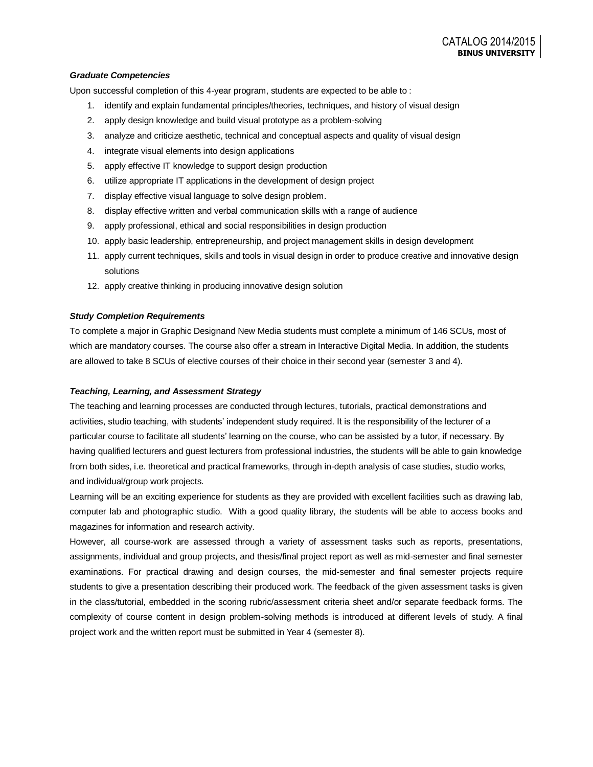#### *Graduate Competencies*

Upon successful completion of this 4-year program, students are expected to be able to :

- 1. identify and explain fundamental principles/theories, techniques, and history of visual design
- 2. apply design knowledge and build visual prototype as a problem-solving
- 3. analyze and criticize aesthetic, technical and conceptual aspects and quality of visual design
- 4. integrate visual elements into design applications
- 5. apply effective IT knowledge to support design production
- 6. utilize appropriate IT applications in the development of design project
- 7. display effective visual language to solve design problem.
- 8. display effective written and verbal communication skills with a range of audience
- 9. apply professional, ethical and social responsibilities in design production
- 10. apply basic leadership, entrepreneurship, and project management skills in design development
- 11. apply current techniques, skills and tools in visual design in order to produce creative and innovative design solutions
- 12. apply creative thinking in producing innovative design solution

#### *Study Completion Requirements*

To complete a major in Graphic Designand New Media students must complete a minimum of 146 SCUs, most of which are mandatory courses. The course also offer a stream in Interactive Digital Media. In addition, the students are allowed to take 8 SCUs of elective courses of their choice in their second year (semester 3 and 4).

#### *Teaching, Learning, and Assessment Strategy*

The teaching and learning processes are conducted through lectures, tutorials, practical demonstrations and activities, studio teaching, with students' independent study required. It is the responsibility of the lecturer of a particular course to facilitate all students' learning on the course, who can be assisted by a tutor, if necessary. By having qualified lecturers and guest lecturers from professional industries, the students will be able to gain knowledge from both sides, i.e. theoretical and practical frameworks, through in-depth analysis of case studies, studio works, and individual/group work projects.

Learning will be an exciting experience for students as they are provided with excellent facilities such as drawing lab, computer lab and photographic studio. With a good quality library, the students will be able to access books and magazines for information and research activity.

However, all course-work are assessed through a variety of assessment tasks such as reports, presentations, assignments, individual and group projects, and thesis/final project report as well as mid-semester and final semester examinations. For practical drawing and design courses, the mid-semester and final semester projects require students to give a presentation describing their produced work. The feedback of the given assessment tasks is given in the class/tutorial, embedded in the scoring rubric/assessment criteria sheet and/or separate feedback forms. The complexity of course content in design problem-solving methods is introduced at different levels of study. A final project work and the written report must be submitted in Year 4 (semester 8).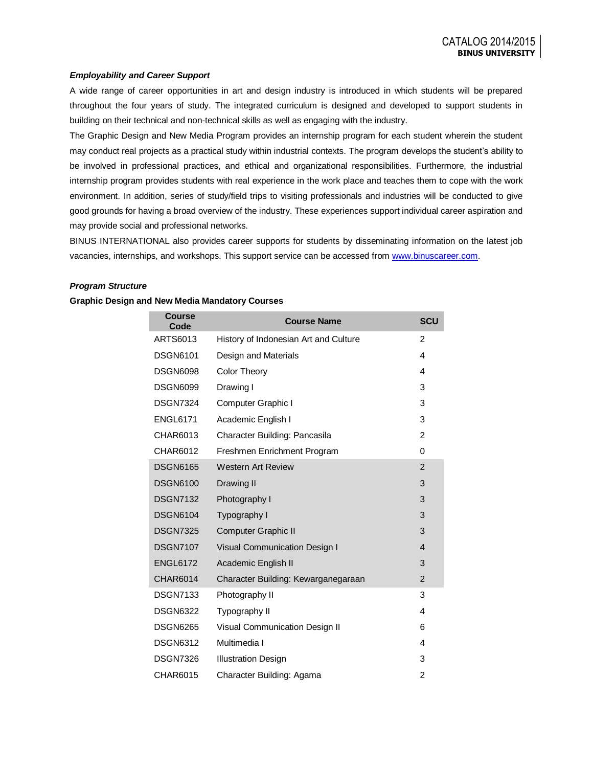## *Employability and Career Support*

A wide range of career opportunities in art and design industry is introduced in which students will be prepared throughout the four years of study. The integrated curriculum is designed and developed to support students in building on their technical and non-technical skills as well as engaging with the industry.

The Graphic Design and New Media Program provides an internship program for each student wherein the student may conduct real projects as a practical study within industrial contexts. The program develops the student's ability to be involved in professional practices, and ethical and organizational responsibilities. Furthermore, the industrial internship program provides students with real experience in the work place and teaches them to cope with the work environment. In addition, series of study/field trips to visiting professionals and industries will be conducted to give good grounds for having a broad overview of the industry. These experiences support individual career aspiration and may provide social and professional networks.

BINUS INTERNATIONAL also provides career supports for students by disseminating information on the latest job vacancies, internships, and workshops. This support service can be accessed fro[m www.binuscareer.com.](http://www.binuscareer.com/)

#### *Program Structure*

#### **Graphic Design and New Media Mandatory Courses**

| <b>Course</b><br>Code | <b>Course Name</b>                    | <b>SCU</b>     |
|-----------------------|---------------------------------------|----------------|
| ARTS6013              | History of Indonesian Art and Culture | $\mathfrak{p}$ |
| <b>DSGN6101</b>       | Design and Materials                  | 4              |
| <b>DSGN6098</b>       | <b>Color Theory</b>                   | 4              |
| <b>DSGN6099</b>       | Drawing I                             | 3              |
| <b>DSGN7324</b>       | Computer Graphic I                    | 3              |
| <b>ENGL6171</b>       | Academic English I                    | 3              |
| CHAR6013              | Character Building: Pancasila         | $\overline{2}$ |
| CHAR6012              | Freshmen Enrichment Program           | 0              |
| <b>DSGN6165</b>       | <b>Western Art Review</b>             | $\mathfrak{p}$ |
| <b>DSGN6100</b>       | Drawing II                            | 3              |
| <b>DSGN7132</b>       | Photography I                         | 3              |
| <b>DSGN6104</b>       | Typography I                          | 3              |
| <b>DSGN7325</b>       | Computer Graphic II                   | 3              |
| <b>DSGN7107</b>       | Visual Communication Design I         | $\overline{4}$ |
| <b>ENGL6172</b>       | Academic English II                   | 3              |
| <b>CHAR6014</b>       | Character Building: Kewarganegaraan   | $\overline{2}$ |
| <b>DSGN7133</b>       | Photography II                        | 3              |
| <b>DSGN6322</b>       | Typography II                         | 4              |
| <b>DSGN6265</b>       | Visual Communication Design II        | 6              |
| <b>DSGN6312</b>       | Multimedia I                          | 4              |
| <b>DSGN7326</b>       | <b>Illustration Design</b>            | 3              |
| CHAR6015              | Character Building: Agama             | 2              |